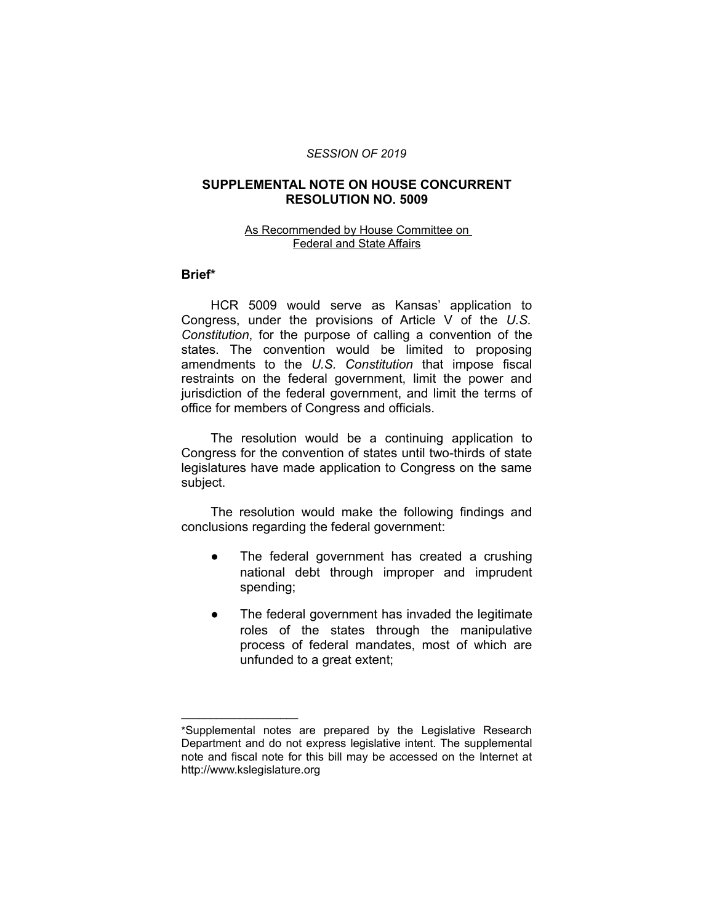#### *SESSION OF 2019*

# **SUPPLEMENTAL NOTE ON HOUSE CONCURRENT RESOLUTION NO. 5009**

## As Recommended by House Committee on Federal and State Affairs

### **Brief\***

HCR 5009 would serve as Kansas' application to Congress, under the provisions of Article V of the *U.S. Constitution*, for the purpose of calling a convention of the states. The convention would be limited to proposing amendments to the *U.S. Constitution* that impose fiscal restraints on the federal government, limit the power and jurisdiction of the federal government, and limit the terms of office for members of Congress and officials.

The resolution would be a continuing application to Congress for the convention of states until two-thirds of state legislatures have made application to Congress on the same subject.

The resolution would make the following findings and conclusions regarding the federal government:

- The federal government has created a crushing national debt through improper and imprudent spending;
- The federal government has invaded the legitimate roles of the states through the manipulative process of federal mandates, most of which are unfunded to a great extent;

 $\overline{\phantom{a}}$  , where  $\overline{\phantom{a}}$  , where  $\overline{\phantom{a}}$ 

<sup>\*</sup>Supplemental notes are prepared by the Legislative Research Department and do not express legislative intent. The supplemental note and fiscal note for this bill may be accessed on the Internet at http://www.kslegislature.org